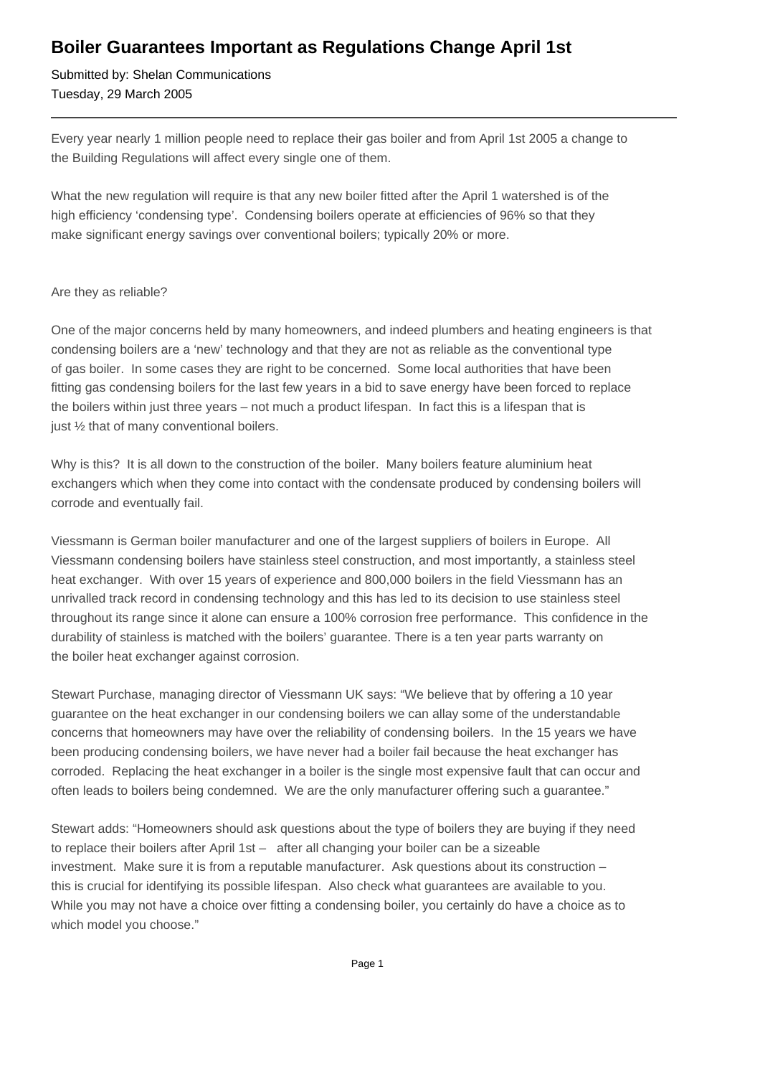## **Boiler Guarantees Important as Regulations Change April 1st**

Submitted by: Shelan Communications Tuesday, 29 March 2005

Every year nearly 1 million people need to replace their gas boiler and from April 1st 2005 a change to the Building Regulations will affect every single one of them.

What the new regulation will require is that any new boiler fitted after the April 1 watershed is of the high efficiency 'condensing type'. Condensing boilers operate at efficiencies of 96% so that they make significant energy savings over conventional boilers; typically 20% or more.

## Are they as reliable?

One of the major concerns held by many homeowners, and indeed plumbers and heating engineers is that condensing boilers are a 'new' technology and that they are not as reliable as the conventional type of gas boiler. In some cases they are right to be concerned. Some local authorities that have been fitting gas condensing boilers for the last few years in a bid to save energy have been forced to replace the boilers within just three years – not much a product lifespan. In fact this is a lifespan that is just 1/2 that of many conventional boilers.

Why is this? It is all down to the construction of the boiler. Many boilers feature aluminium heat exchangers which when they come into contact with the condensate produced by condensing boilers will corrode and eventually fail.

Viessmann is German boiler manufacturer and one of the largest suppliers of boilers in Europe. All Viessmann condensing boilers have stainless steel construction, and most importantly, a stainless steel heat exchanger. With over 15 years of experience and 800,000 boilers in the field Viessmann has an unrivalled track record in condensing technology and this has led to its decision to use stainless steel throughout its range since it alone can ensure a 100% corrosion free performance. This confidence in the durability of stainless is matched with the boilers' guarantee. There is a ten year parts warranty on the boiler heat exchanger against corrosion.

Stewart Purchase, managing director of Viessmann UK says: "We believe that by offering a 10 year guarantee on the heat exchanger in our condensing boilers we can allay some of the understandable concerns that homeowners may have over the reliability of condensing boilers. In the 15 years we have been producing condensing boilers, we have never had a boiler fail because the heat exchanger has corroded. Replacing the heat exchanger in a boiler is the single most expensive fault that can occur and often leads to boilers being condemned. We are the only manufacturer offering such a guarantee."

Stewart adds: "Homeowners should ask questions about the type of boilers they are buying if they need to replace their boilers after April 1st – after all changing your boiler can be a sizeable investment. Make sure it is from a reputable manufacturer. Ask questions about its construction – this is crucial for identifying its possible lifespan. Also check what guarantees are available to you. While you may not have a choice over fitting a condensing boiler, you certainly do have a choice as to which model you choose."